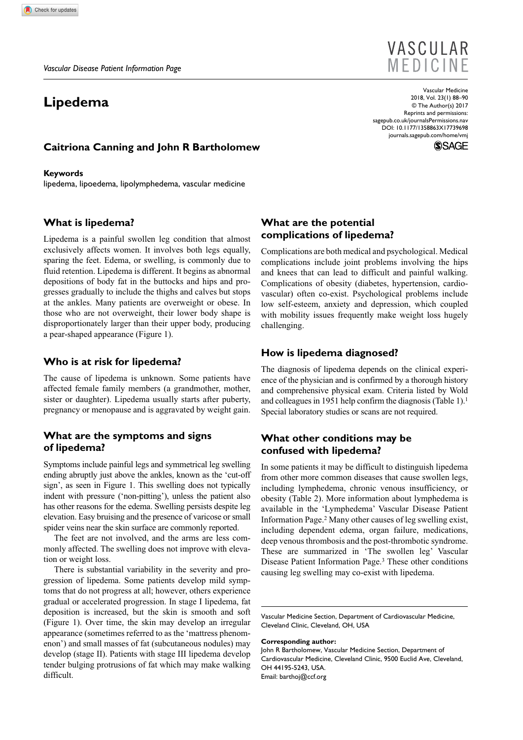# **Lipedema**

# **VASCULAR** MEDICINE

DOI: 10.1177/1358863X17739698 Vascular Medicine 2018, Vol. 23(1) 88–90 © The Author(s) 2017 Reprints and permissions: [sagepub.co.uk/journalsPermissions.nav](https://uk.sagepub.com/en-gb/journals-permissions) [journals.sagepub.com/home/vmj](https://journals.sagepub.com/home/vmj)



#### **Caitriona Canning and John R Bartholomew**

#### **Keywords**

lipedema, lipoedema, lipolymphedema, vascular medicine

#### **What is lipedema?**

Lipedema is a painful swollen leg condition that almost exclusively affects women. It involves both legs equally, sparing the feet. Edema, or swelling, is commonly due to fluid retention. Lipedema is different. It begins as abnormal depositions of body fat in the buttocks and hips and progresses gradually to include the thighs and calves but stops at the ankles. Many patients are overweight or obese. In those who are not overweight, their lower body shape is disproportionately larger than their upper body, producing a pear-shaped appearance (Figure 1).

### **Who is at risk for lipedema?**

The cause of lipedema is unknown. Some patients have affected female family members (a grandmother, mother, sister or daughter). Lipedema usually starts after puberty, pregnancy or menopause and is aggravated by weight gain.

# **What are the symptoms and signs of lipedema?**

Symptoms include painful legs and symmetrical leg swelling ending abruptly just above the ankles, known as the 'cut-off sign', as seen in Figure 1. This swelling does not typically indent with pressure ('non-pitting'), unless the patient also has other reasons for the edema. Swelling persists despite leg elevation. Easy bruising and the presence of varicose or small spider veins near the skin surface are commonly reported.

The feet are not involved, and the arms are less commonly affected. The swelling does not improve with elevation or weight loss.

There is substantial variability in the severity and progression of lipedema. Some patients develop mild symptoms that do not progress at all; however, others experience gradual or accelerated progression. In stage I lipedema, fat deposition is increased, but the skin is smooth and soft (Figure 1). Over time, the skin may develop an irregular appearance (sometimes referred to as the 'mattress phenomenon') and small masses of fat (subcutaneous nodules) may develop (stage II). Patients with stage III lipedema develop tender bulging protrusions of fat which may make walking difficult.

### **What are the potential complications of lipedema?**

Complications are both medical and psychological. Medical complications include joint problems involving the hips and knees that can lead to difficult and painful walking. Complications of obesity (diabetes, hypertension, cardiovascular) often co-exist. Psychological problems include low self-esteem, anxiety and depression, which coupled with mobility issues frequently make weight loss hugely challenging.

#### **How is lipedema diagnosed?**

The diagnosis of lipedema depends on the clinical experience of the physician and is confirmed by a thorough history and comprehensive physical exam. Criteria listed by Wold and colleagues in 1951 help confirm the diagnosis (Table 1).<sup>1</sup> Special laboratory studies or scans are not required.

# **What other conditions may be confused with lipedema?**

In some patients it may be difficult to distinguish lipedema from other more common diseases that cause swollen legs, including lymphedema, chronic venous insufficiency, or obesity (Table 2). More information about lymphedema is available in the 'Lymphedema' Vascular Disease Patient Information Page.2 Many other causes of leg swelling exist, including dependent edema, organ failure, medications, deep venous thrombosis and the post-thrombotic syndrome. These are summarized in 'The swollen leg' Vascular Disease Patient Information Page.3 These other conditions causing leg swelling may co-exist with lipedema.

Vascular Medicine Section, Department of Cardiovascular Medicine, Cleveland Clinic, Cleveland, OH, USA

#### **Corresponding author:**

John R Bartholomew, Vascular Medicine Section, Department of Cardiovascular Medicine, Cleveland Clinic, 9500 Euclid Ave, Cleveland, OH 44195-5243, USA. Email: [barthoj@ccf.org](mailto:barthoj@ccf.org)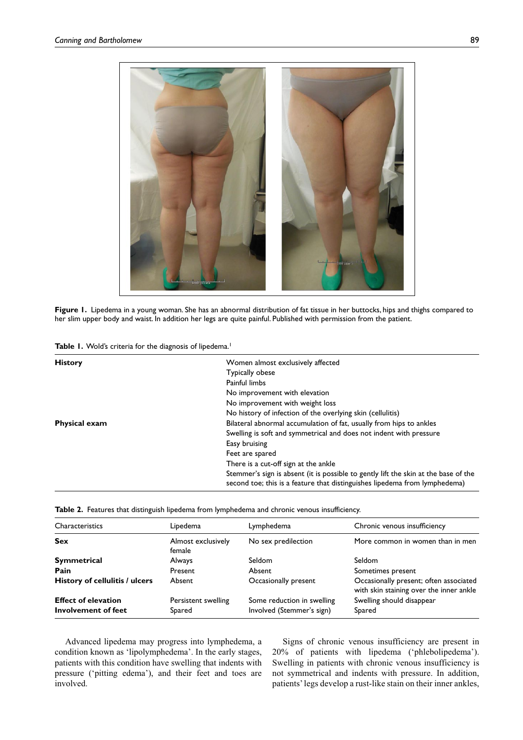

**Figure 1.** Lipedema in a young woman. She has an abnormal distribution of fat tissue in her buttocks, hips and thighs compared to her slim upper body and waist. In addition her legs are quite painful. Published with permission from the patient.

| <b>History</b>       | Women almost exclusively affected                                                                                                                                 |
|----------------------|-------------------------------------------------------------------------------------------------------------------------------------------------------------------|
|                      | Typically obese                                                                                                                                                   |
|                      | Painful limbs                                                                                                                                                     |
|                      | No improvement with elevation                                                                                                                                     |
|                      | No improvement with weight loss                                                                                                                                   |
|                      | No history of infection of the overlying skin (cellulitis)                                                                                                        |
| <b>Physical exam</b> | Bilateral abnormal accumulation of fat, usually from hips to ankles                                                                                               |
|                      | Swelling is soft and symmetrical and does not indent with pressure                                                                                                |
|                      | Easy bruising                                                                                                                                                     |
|                      | Feet are spared                                                                                                                                                   |
|                      | There is a cut-off sign at the ankle                                                                                                                              |
|                      | Stemmer's sign is absent (it is possible to gently lift the skin at the base of the<br>second toe; this is a feature that distinguishes lipedema from lymphedema) |

|  |  |  |  |  | Table 2. Features that distinguish lipedema from lymphedema and chronic venous insufficiency. |  |
|--|--|--|--|--|-----------------------------------------------------------------------------------------------|--|
|--|--|--|--|--|-----------------------------------------------------------------------------------------------|--|

| Characteristics                | Lipedema                     | Lymphedema                 | Chronic venous insufficiency                                                      |  |
|--------------------------------|------------------------------|----------------------------|-----------------------------------------------------------------------------------|--|
| <b>Sex</b>                     | Almost exclusively<br>female | No sex predilection        | More common in women than in men                                                  |  |
| Symmetrical                    | <b>Always</b>                | Seldom                     | Seldom                                                                            |  |
| Pain                           | Present                      | Absent                     | Sometimes present                                                                 |  |
| History of cellulitis / ulcers | Absent                       | Occasionally present       | Occasionally present; often associated<br>with skin staining over the inner ankle |  |
| <b>Effect of elevation</b>     | Persistent swelling          | Some reduction in swelling | Swelling should disappear                                                         |  |
| Involvement of feet            | Spared                       | Involved (Stemmer's sign)  | Spared                                                                            |  |

Advanced lipedema may progress into lymphedema, a condition known as 'lipolymphedema'. In the early stages, patients with this condition have swelling that indents with pressure ('pitting edema'), and their feet and toes are involved.

Signs of chronic venous insufficiency are present in 20% of patients with lipedema ('phlebolipedema'). Swelling in patients with chronic venous insufficiency is not symmetrical and indents with pressure. In addition, patients' legs develop a rust-like stain on their inner ankles,